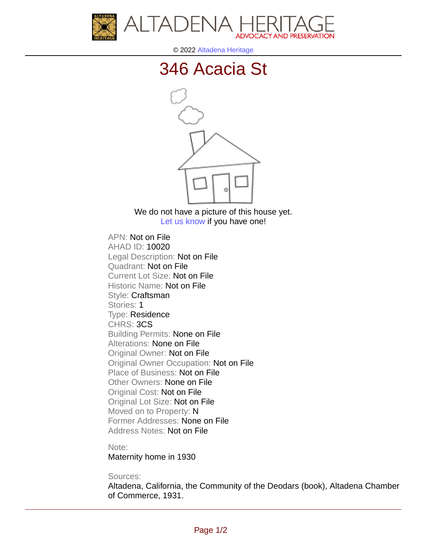



© 2022 [Altadena Heritage](http://altadenaheritage.org/)

## [346 Acacia St](ahad.altadenaheritagepdb.org/properties/10020)



We do not have a picture of this house yet. [Let us know](http://altadenaheritage.org/contact-us/) if you have one!

APN: Not on File [AHAD ID: 10020](ahad.altadenaheritagepdb.org/properties/10020) Legal Description: Not on File Quadrant: Not on File Current Lot Size: Not on File Historic Name: Not on File Style: Craftsman Stories: 1 Type: Residence CHRS: 3CS Building Permits: None on File Alterations: None on File Original Owner: Not on File Original Owner Occupation: Not on File Place of Business: Not on File Other Owners: None on File Original Cost: Not on File Original Lot Size: Not on File Moved on to Property: N Former Addresses: None on File Address Notes: Not on File

Note:

Maternity home in 1930

Sources:

Altadena, California, the Community of the Deodars (book), Altadena Chamber of Commerce, 1931.